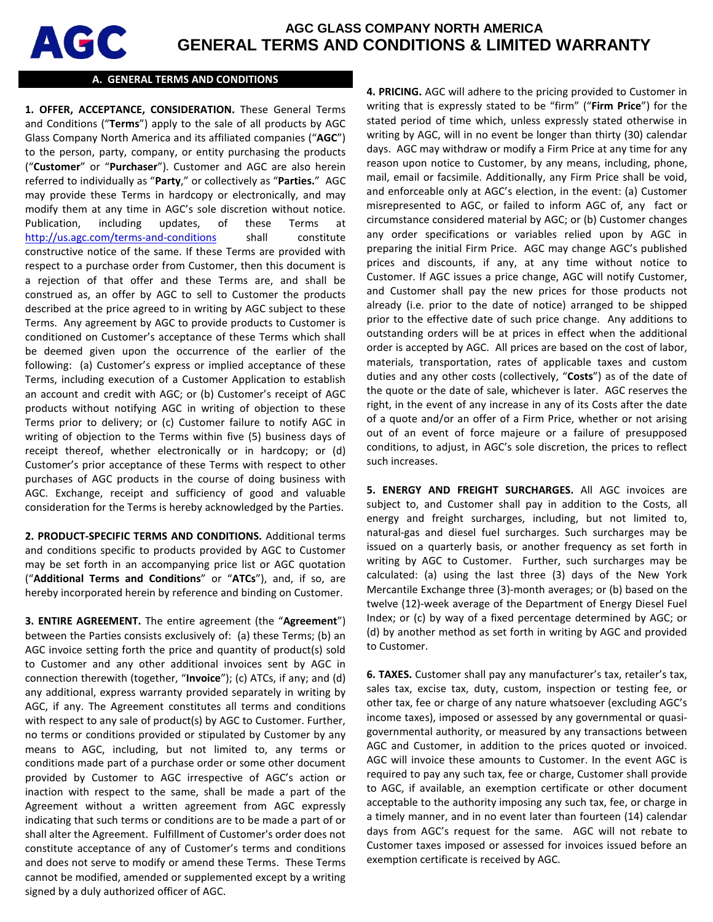

# **AGC GLASS COMPANY NORTH AMERICA GENERAL TERMS AND CONDITIONS & LIMITED WARRANTY**

#### **A. GENERAL TERMS AND CONDITIONS**

**1. OFFER, ACCEPTANCE, CONSIDERATION.** These General Terms and Conditions ("**Terms**") apply to the sale of all products by AGC Glass Company North America and its affiliated companies ("**AGC**") to the person, party, company, or entity purchasing the products ("**Customer**" or "**Purchaser**"). Customer and AGC are also herein referred to individually as "**Party**," or collectively as "**Parties.**" AGC may provide these Terms in hardcopy or electronically, and may modify them at any time in AGC's sole discretion without notice. Publication, including updates, of these Terms at <http://us.agc.com/terms-and-conditions> shall constitute constructive notice of the same. If these Terms are provided with respect to a purchase order from Customer, then this document is a rejection of that offer and these Terms are, and shall be construed as, an offer by AGC to sell to Customer the products described at the price agreed to in writing by AGC subject to these Terms. Any agreement by AGC to provide products to Customer is conditioned on Customer's acceptance of these Terms which shall be deemed given upon the occurrence of the earlier of the following: (a) Customer's express or implied acceptance of these Terms, including execution of a Customer Application to establish an account and credit with AGC; or (b) Customer's receipt of AGC products without notifying AGC in writing of objection to these Terms prior to delivery; or (c) Customer failure to notify AGC in writing of objection to the Terms within five (5) business days of receipt thereof, whether electronically or in hardcopy; or (d) Customer's prior acceptance of these Terms with respect to other purchases of AGC products in the course of doing business with AGC. Exchange, receipt and sufficiency of good and valuable consideration for the Terms is hereby acknowledged by the Parties.

**2. PRODUCT-SPECIFIC TERMS AND CONDITIONS.** Additional terms and conditions specific to products provided by AGC to Customer may be set forth in an accompanying price list or AGC quotation ("**Additional Terms and Conditions**" or "**ATCs**"), and, if so, are hereby incorporated herein by reference and binding on Customer.

**3. ENTIRE AGREEMENT.** The entire agreement (the "**Agreement**") between the Parties consists exclusively of: (a) these Terms; (b) an AGC invoice setting forth the price and quantity of product(s) sold to Customer and any other additional invoices sent by AGC in connection therewith (together, "**Invoice**"); (c) ATCs, if any; and (d) any additional, express warranty provided separately in writing by AGC, if any. The Agreement constitutes all terms and conditions with respect to any sale of product(s) by AGC to Customer. Further, no terms or conditions provided or stipulated by Customer by any means to AGC, including, but not limited to, any terms or conditions made part of a purchase order or some other document provided by Customer to AGC irrespective of AGC's action or inaction with respect to the same, shall be made a part of the Agreement without a written agreement from AGC expressly indicating that such terms or conditions are to be made a part of or shall alter the Agreement. Fulfillment of Customer's order does not constitute acceptance of any of Customer's terms and conditions and does not serve to modify or amend these Terms. These Terms cannot be modified, amended or supplemented except by a writing signed by a duly authorized officer of AGC.

**4. PRICING.** AGC will adhere to the pricing provided to Customer in writing that is expressly stated to be "firm" ("**Firm Price**") for the stated period of time which, unless expressly stated otherwise in writing by AGC, will in no event be longer than thirty (30) calendar days. AGC may withdraw or modify a Firm Price at any time for any reason upon notice to Customer, by any means, including, phone, mail, email or facsimile. Additionally, any Firm Price shall be void, and enforceable only at AGC's election, in the event: (a) Customer misrepresented to AGC, or failed to inform AGC of, any fact or circumstance considered material by AGC; or (b) Customer changes any order specifications or variables relied upon by AGC in preparing the initial Firm Price. AGC may change AGC's published prices and discounts, if any, at any time without notice to Customer. If AGC issues a price change, AGC will notify Customer, and Customer shall pay the new prices for those products not already (i.e. prior to the date of notice) arranged to be shipped prior to the effective date of such price change. Any additions to outstanding orders will be at prices in effect when the additional order is accepted by AGC. All prices are based on the cost of labor, materials, transportation, rates of applicable taxes and custom duties and any other costs (collectively, "**Costs**") as of the date of the quote or the date of sale, whichever is later. AGC reserves the right, in the event of any increase in any of its Costs after the date of a quote and/or an offer of a Firm Price, whether or not arising out of an event of force majeure or a failure of presupposed conditions, to adjust, in AGC's sole discretion, the prices to reflect such increases.

**5. ENERGY AND FREIGHT SURCHARGES.** All AGC invoices are subject to, and Customer shall pay in addition to the Costs, all energy and freight surcharges, including, but not limited to, natural-gas and diesel fuel surcharges. Such surcharges may be issued on a quarterly basis, or another frequency as set forth in writing by AGC to Customer. Further, such surcharges may be calculated: (a) using the last three (3) days of the New York Mercantile Exchange three (3)-month averages; or (b) based on the twelve (12)-week average of the Department of Energy Diesel Fuel Index; or (c) by way of a fixed percentage determined by AGC; or (d) by another method as set forth in writing by AGC and provided to Customer.

**6. TAXES.** Customer shall pay any manufacturer's tax, retailer's tax, sales tax, excise tax, duty, custom, inspection or testing fee, or other tax, fee or charge of any nature whatsoever (excluding AGC's income taxes), imposed or assessed by any governmental or quasigovernmental authority, or measured by any transactions between AGC and Customer, in addition to the prices quoted or invoiced. AGC will invoice these amounts to Customer. In the event AGC is required to pay any such tax, fee or charge, Customer shall provide to AGC, if available, an exemption certificate or other document acceptable to the authority imposing any such tax, fee, or charge in a timely manner, and in no event later than fourteen (14) calendar days from AGC's request for the same. AGC will not rebate to Customer taxes imposed or assessed for invoices issued before an exemption certificate is received by AGC.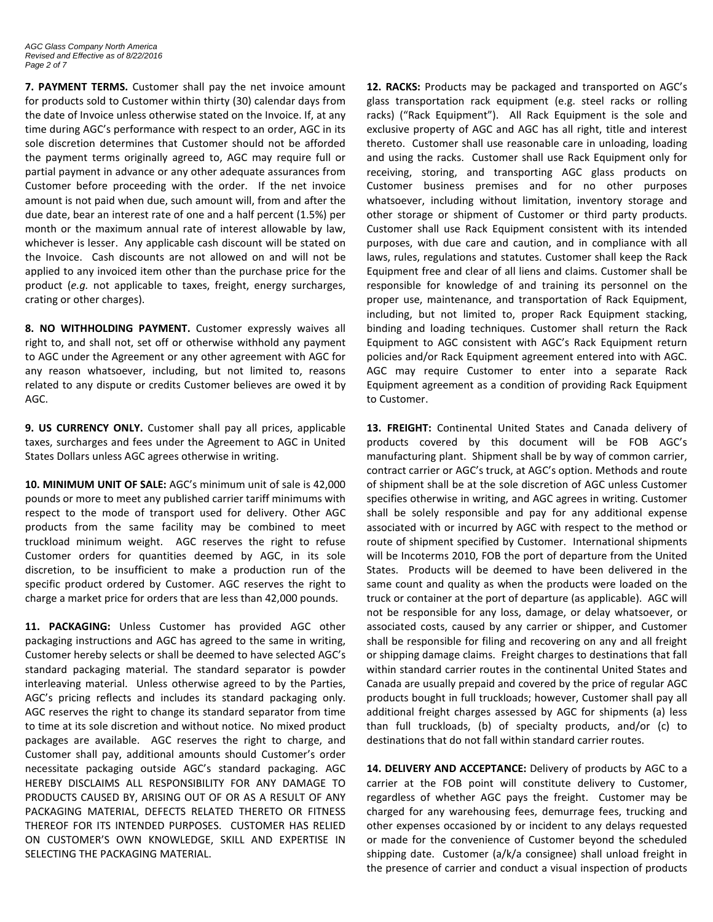**7. PAYMENT TERMS.** Customer shall pay the net invoice amount for products sold to Customer within thirty (30) calendar days from the date of Invoice unless otherwise stated on the Invoice. If, at any time during AGC's performance with respect to an order, AGC in its sole discretion determines that Customer should not be afforded the payment terms originally agreed to, AGC may require full or partial payment in advance or any other adequate assurances from Customer before proceeding with the order. If the net invoice amount is not paid when due, such amount will, from and after the due date, bear an interest rate of one and a half percent (1.5%) per month or the maximum annual rate of interest allowable by law, whichever is lesser. Any applicable cash discount will be stated on the Invoice. Cash discounts are not allowed on and will not be applied to any invoiced item other than the purchase price for the product (*e.g.* not applicable to taxes, freight, energy surcharges, crating or other charges).

**8. NO WITHHOLDING PAYMENT.** Customer expressly waives all right to, and shall not, set off or otherwise withhold any payment to AGC under the Agreement or any other agreement with AGC for any reason whatsoever, including, but not limited to, reasons related to any dispute or credits Customer believes are owed it by AGC.

**9. US CURRENCY ONLY.** Customer shall pay all prices, applicable taxes, surcharges and fees under the Agreement to AGC in United States Dollars unless AGC agrees otherwise in writing.

**10. MINIMUM UNIT OF SALE:** AGC's minimum unit of sale is 42,000 pounds or more to meet any published carrier tariff minimums with respect to the mode of transport used for delivery. Other AGC products from the same facility may be combined to meet truckload minimum weight. AGC reserves the right to refuse Customer orders for quantities deemed by AGC, in its sole discretion, to be insufficient to make a production run of the specific product ordered by Customer. AGC reserves the right to charge a market price for orders that are less than 42,000 pounds.

**11. PACKAGING:** Unless Customer has provided AGC other packaging instructions and AGC has agreed to the same in writing, Customer hereby selects or shall be deemed to have selected AGC's standard packaging material. The standard separator is powder interleaving material. Unless otherwise agreed to by the Parties, AGC's pricing reflects and includes its standard packaging only. AGC reserves the right to change its standard separator from time to time at its sole discretion and without notice. No mixed product packages are available. AGC reserves the right to charge, and Customer shall pay, additional amounts should Customer's order necessitate packaging outside AGC's standard packaging. AGC HEREBY DISCLAIMS ALL RESPONSIBILITY FOR ANY DAMAGE TO PRODUCTS CAUSED BY, ARISING OUT OF OR AS A RESULT OF ANY PACKAGING MATERIAL, DEFECTS RELATED THERETO OR FITNESS THEREOF FOR ITS INTENDED PURPOSES. CUSTOMER HAS RELIED ON CUSTOMER'S OWN KNOWLEDGE, SKILL AND EXPERTISE IN SELECTING THE PACKAGING MATERIAL.

**12. RACKS:** Products may be packaged and transported on AGC's glass transportation rack equipment (e.g. steel racks or rolling racks) ("Rack Equipment"). All Rack Equipment is the sole and exclusive property of AGC and AGC has all right, title and interest thereto. Customer shall use reasonable care in unloading, loading and using the racks. Customer shall use Rack Equipment only for receiving, storing, and transporting AGC glass products on Customer business premises and for no other purposes whatsoever, including without limitation, inventory storage and other storage or shipment of Customer or third party products. Customer shall use Rack Equipment consistent with its intended purposes, with due care and caution, and in compliance with all laws, rules, regulations and statutes. Customer shall keep the Rack Equipment free and clear of all liens and claims. Customer shall be responsible for knowledge of and training its personnel on the proper use, maintenance, and transportation of Rack Equipment, including, but not limited to, proper Rack Equipment stacking, binding and loading techniques. Customer shall return the Rack Equipment to AGC consistent with AGC's Rack Equipment return policies and/or Rack Equipment agreement entered into with AGC. AGC may require Customer to enter into a separate Rack Equipment agreement as a condition of providing Rack Equipment to Customer.

**13. FREIGHT:** Continental United States and Canada delivery of products covered by this document will be FOB AGC's manufacturing plant. Shipment shall be by way of common carrier, contract carrier or AGC's truck, at AGC's option. Methods and route of shipment shall be at the sole discretion of AGC unless Customer specifies otherwise in writing, and AGC agrees in writing. Customer shall be solely responsible and pay for any additional expense associated with or incurred by AGC with respect to the method or route of shipment specified by Customer. International shipments will be Incoterms 2010, FOB the port of departure from the United States. Products will be deemed to have been delivered in the same count and quality as when the products were loaded on the truck or container at the port of departure (as applicable). AGC will not be responsible for any loss, damage, or delay whatsoever, or associated costs, caused by any carrier or shipper, and Customer shall be responsible for filing and recovering on any and all freight or shipping damage claims. Freight charges to destinations that fall within standard carrier routes in the continental United States and Canada are usually prepaid and covered by the price of regular AGC products bought in full truckloads; however, Customer shall pay all additional freight charges assessed by AGC for shipments (a) less than full truckloads, (b) of specialty products, and/or (c) to destinations that do not fall within standard carrier routes.

**14. DELIVERY AND ACCEPTANCE:** Delivery of products by AGC to a carrier at the FOB point will constitute delivery to Customer, regardless of whether AGC pays the freight. Customer may be charged for any warehousing fees, demurrage fees, trucking and other expenses occasioned by or incident to any delays requested or made for the convenience of Customer beyond the scheduled shipping date. Customer (a/k/a consignee) shall unload freight in the presence of carrier and conduct a visual inspection of products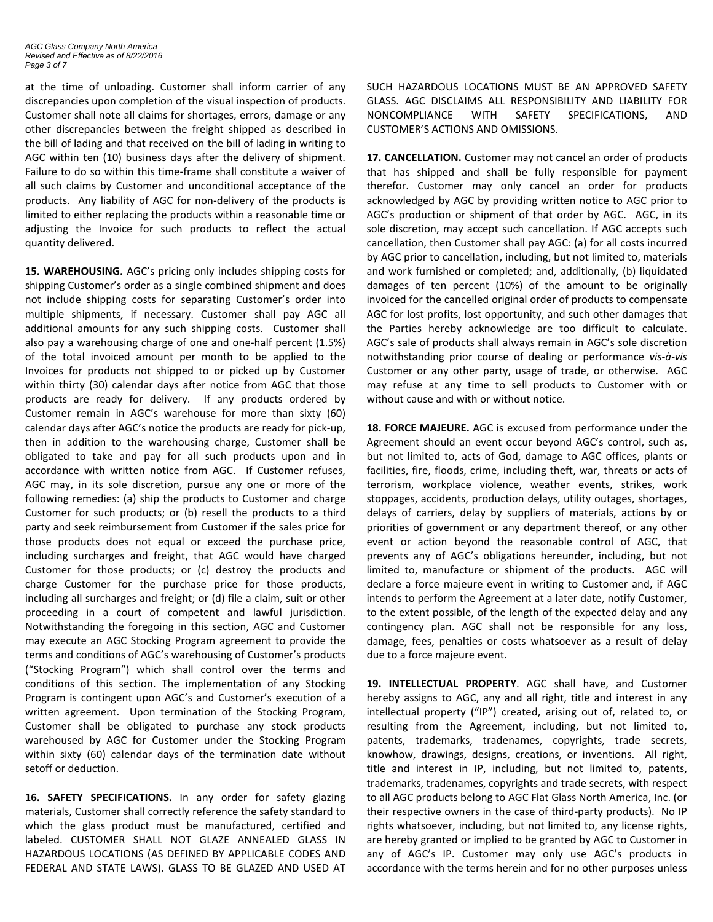at the time of unloading. Customer shall inform carrier of any discrepancies upon completion of the visual inspection of products. Customer shall note all claims for shortages, errors, damage or any other discrepancies between the freight shipped as described in the bill of lading and that received on the bill of lading in writing to AGC within ten (10) business days after the delivery of shipment. Failure to do so within this time-frame shall constitute a waiver of all such claims by Customer and unconditional acceptance of the products. Any liability of AGC for non-delivery of the products is limited to either replacing the products within a reasonable time or adjusting the Invoice for such products to reflect the actual quantity delivered.

**15. WAREHOUSING.** AGC's pricing only includes shipping costs for shipping Customer's order as a single combined shipment and does not include shipping costs for separating Customer's order into multiple shipments, if necessary. Customer shall pay AGC all additional amounts for any such shipping costs. Customer shall also pay a warehousing charge of one and one-half percent (1.5%) of the total invoiced amount per month to be applied to the Invoices for products not shipped to or picked up by Customer within thirty (30) calendar days after notice from AGC that those products are ready for delivery. If any products ordered by Customer remain in AGC's warehouse for more than sixty (60) calendar days after AGC's notice the products are ready for pick-up, then in addition to the warehousing charge, Customer shall be obligated to take and pay for all such products upon and in accordance with written notice from AGC. If Customer refuses, AGC may, in its sole discretion, pursue any one or more of the following remedies: (a) ship the products to Customer and charge Customer for such products; or (b) resell the products to a third party and seek reimbursement from Customer if the sales price for those products does not equal or exceed the purchase price, including surcharges and freight, that AGC would have charged Customer for those products; or (c) destroy the products and charge Customer for the purchase price for those products, including all surcharges and freight; or (d) file a claim, suit or other proceeding in a court of competent and lawful jurisdiction. Notwithstanding the foregoing in this section, AGC and Customer may execute an AGC Stocking Program agreement to provide the terms and conditions of AGC's warehousing of Customer's products ("Stocking Program") which shall control over the terms and conditions of this section. The implementation of any Stocking Program is contingent upon AGC's and Customer's execution of a written agreement. Upon termination of the Stocking Program, Customer shall be obligated to purchase any stock products warehoused by AGC for Customer under the Stocking Program within sixty (60) calendar days of the termination date without setoff or deduction.

**16. SAFETY SPECIFICATIONS.** In any order for safety glazing materials, Customer shall correctly reference the safety standard to which the glass product must be manufactured, certified and labeled. CUSTOMER SHALL NOT GLAZE ANNEALED GLASS IN HAZARDOUS LOCATIONS (AS DEFINED BY APPLICABLE CODES AND FEDERAL AND STATE LAWS). GLASS TO BE GLAZED AND USED AT

SUCH HAZARDOUS LOCATIONS MUST BE AN APPROVED SAFETY GLASS. AGC DISCLAIMS ALL RESPONSIBILITY AND LIABILITY FOR NONCOMPLIANCE WITH SAFETY SPECIFICATIONS, AND CUSTOMER'S ACTIONS AND OMISSIONS.

**17. CANCELLATION.** Customer may not cancel an order of products that has shipped and shall be fully responsible for payment therefor. Customer may only cancel an order for products acknowledged by AGC by providing written notice to AGC prior to AGC's production or shipment of that order by AGC. AGC, in its sole discretion, may accept such cancellation. If AGC accepts such cancellation, then Customer shall pay AGC: (a) for all costs incurred by AGC prior to cancellation, including, but not limited to, materials and work furnished or completed; and, additionally, (b) liquidated damages of ten percent (10%) of the amount to be originally invoiced for the cancelled original order of products to compensate AGC for lost profits, lost opportunity, and such other damages that the Parties hereby acknowledge are too difficult to calculate. AGC's sale of products shall always remain in AGC's sole discretion notwithstanding prior course of dealing or performance *vis-à-vis* Customer or any other party, usage of trade, or otherwise. AGC may refuse at any time to sell products to Customer with or without cause and with or without notice.

**18. FORCE MAJEURE.** AGC is excused from performance under the Agreement should an event occur beyond AGC's control, such as, but not limited to, acts of God, damage to AGC offices, plants or facilities, fire, floods, crime, including theft, war, threats or acts of terrorism, workplace violence, weather events, strikes, work stoppages, accidents, production delays, utility outages, shortages, delays of carriers, delay by suppliers of materials, actions by or priorities of government or any department thereof, or any other event or action beyond the reasonable control of AGC, that prevents any of AGC's obligations hereunder, including, but not limited to, manufacture or shipment of the products. AGC will declare a force majeure event in writing to Customer and, if AGC intends to perform the Agreement at a later date, notify Customer, to the extent possible, of the length of the expected delay and any contingency plan. AGC shall not be responsible for any loss, damage, fees, penalties or costs whatsoever as a result of delay due to a force majeure event.

**19. INTELLECTUAL PROPERTY**. AGC shall have, and Customer hereby assigns to AGC, any and all right, title and interest in any intellectual property ("IP") created, arising out of, related to, or resulting from the Agreement, including, but not limited to, patents, trademarks, tradenames, copyrights, trade secrets, knowhow, drawings, designs, creations, or inventions. All right, title and interest in IP, including, but not limited to, patents, trademarks, tradenames, copyrights and trade secrets, with respect to all AGC products belong to AGC Flat Glass North America, Inc. (or their respective owners in the case of third-party products). No IP rights whatsoever, including, but not limited to, any license rights, are hereby granted or implied to be granted by AGC to Customer in any of AGC's IP. Customer may only use AGC's products in accordance with the terms herein and for no other purposes unless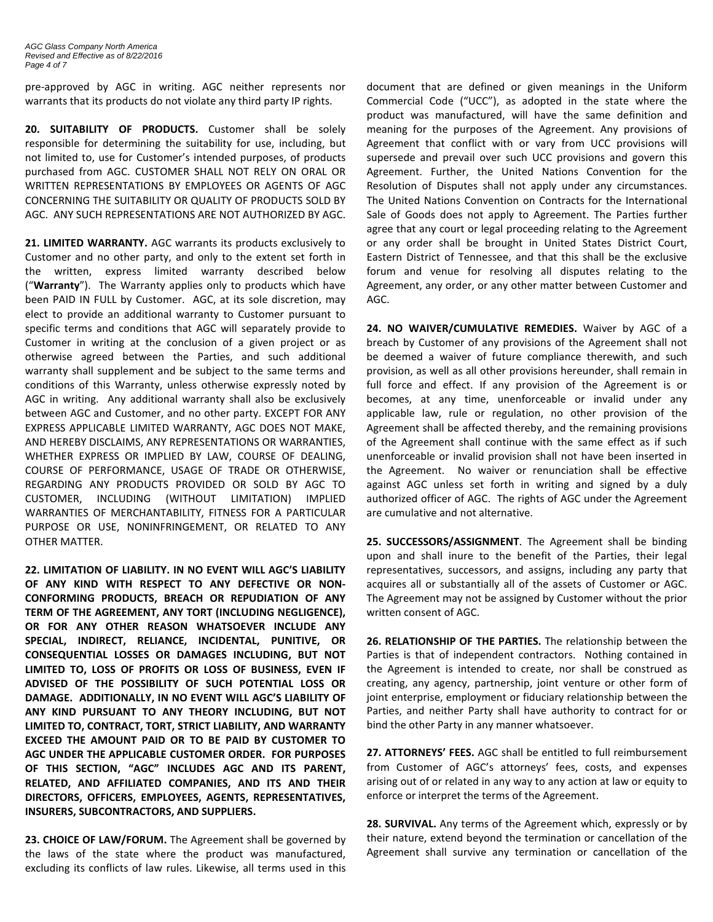*AGC Glass Company North America Revised and Effective as of 8/22/2016 Page 4 of 7*

pre-approved by AGC in writing. AGC neither represents nor warrants that its products do not violate any third party IP rights.

**20. SUITABILITY OF PRODUCTS.** Customer shall be solely responsible for determining the suitability for use, including, but not limited to, use for Customer's intended purposes, of products purchased from AGC. CUSTOMER SHALL NOT RELY ON ORAL OR WRITTEN REPRESENTATIONS BY EMPLOYEES OR AGENTS OF AGC CONCERNING THE SUITABILITY OR QUALITY OF PRODUCTS SOLD BY AGC. ANY SUCH REPRESENTATIONS ARE NOT AUTHORIZED BY AGC.

**21. LIMITED WARRANTY.** AGC warrants its products exclusively to Customer and no other party, and only to the extent set forth in the written, express limited warranty described below ("**Warranty**"). The Warranty applies only to products which have been PAID IN FULL by Customer. AGC, at its sole discretion, may elect to provide an additional warranty to Customer pursuant to specific terms and conditions that AGC will separately provide to Customer in writing at the conclusion of a given project or as otherwise agreed between the Parties, and such additional warranty shall supplement and be subject to the same terms and conditions of this Warranty, unless otherwise expressly noted by AGC in writing. Any additional warranty shall also be exclusively between AGC and Customer, and no other party. EXCEPT FOR ANY EXPRESS APPLICABLE LIMITED WARRANTY, AGC DOES NOT MAKE, AND HEREBY DISCLAIMS, ANY REPRESENTATIONS OR WARRANTIES, WHETHER EXPRESS OR IMPLIED BY LAW, COURSE OF DEALING, COURSE OF PERFORMANCE, USAGE OF TRADE OR OTHERWISE, REGARDING ANY PRODUCTS PROVIDED OR SOLD BY AGC TO CUSTOMER, INCLUDING (WITHOUT LIMITATION) IMPLIED WARRANTIES OF MERCHANTABILITY, FITNESS FOR A PARTICULAR PURPOSE OR USE, NONINFRINGEMENT, OR RELATED TO ANY OTHER MATTER.

**22. LIMITATION OF LIABILITY. IN NO EVENT WILL AGC'S LIABILITY OF ANY KIND WITH RESPECT TO ANY DEFECTIVE OR NON-CONFORMING PRODUCTS, BREACH OR REPUDIATION OF ANY TERM OF THE AGREEMENT, ANY TORT (INCLUDING NEGLIGENCE), OR FOR ANY OTHER REASON WHATSOEVER INCLUDE ANY SPECIAL, INDIRECT, RELIANCE, INCIDENTAL, PUNITIVE, OR CONSEQUENTIAL LOSSES OR DAMAGES INCLUDING, BUT NOT LIMITED TO, LOSS OF PROFITS OR LOSS OF BUSINESS, EVEN IF ADVISED OF THE POSSIBILITY OF SUCH POTENTIAL LOSS OR DAMAGE. ADDITIONALLY, IN NO EVENT WILL AGC'S LIABILITY OF ANY KIND PURSUANT TO ANY THEORY INCLUDING, BUT NOT LIMITED TO, CONTRACT, TORT, STRICT LIABILITY, AND WARRANTY EXCEED THE AMOUNT PAID OR TO BE PAID BY CUSTOMER TO AGC UNDER THE APPLICABLE CUSTOMER ORDER. FOR PURPOSES OF THIS SECTION, "AGC" INCLUDES AGC AND ITS PARENT, RELATED, AND AFFILIATED COMPANIES, AND ITS AND THEIR DIRECTORS, OFFICERS, EMPLOYEES, AGENTS, REPRESENTATIVES, INSURERS, SUBCONTRACTORS, AND SUPPLIERS.**

**23. CHOICE OF LAW/FORUM.** The Agreement shall be governed by the laws of the state where the product was manufactured, excluding its conflicts of law rules. Likewise, all terms used in this

document that are defined or given meanings in the Uniform Commercial Code ("UCC"), as adopted in the state where the product was manufactured, will have the same definition and meaning for the purposes of the Agreement. Any provisions of Agreement that conflict with or vary from UCC provisions will supersede and prevail over such UCC provisions and govern this Agreement. Further, the United Nations Convention for the Resolution of Disputes shall not apply under any circumstances. The United Nations Convention on Contracts for the International Sale of Goods does not apply to Agreement. The Parties further agree that any court or legal proceeding relating to the Agreement or any order shall be brought in United States District Court, Eastern District of Tennessee, and that this shall be the exclusive forum and venue for resolving all disputes relating to the Agreement, any order, or any other matter between Customer and AGC.

**24. NO WAIVER/CUMULATIVE REMEDIES.** Waiver by AGC of a breach by Customer of any provisions of the Agreement shall not be deemed a waiver of future compliance therewith, and such provision, as well as all other provisions hereunder, shall remain in full force and effect. If any provision of the Agreement is or becomes, at any time, unenforceable or invalid under any applicable law, rule or regulation, no other provision of the Agreement shall be affected thereby, and the remaining provisions of the Agreement shall continue with the same effect as if such unenforceable or invalid provision shall not have been inserted in the Agreement. No waiver or renunciation shall be effective against AGC unless set forth in writing and signed by a duly authorized officer of AGC. The rights of AGC under the Agreement are cumulative and not alternative.

**25. SUCCESSORS/ASSIGNMENT**. The Agreement shall be binding upon and shall inure to the benefit of the Parties, their legal representatives, successors, and assigns, including any party that acquires all or substantially all of the assets of Customer or AGC. The Agreement may not be assigned by Customer without the prior written consent of AGC.

**26. RELATIONSHIP OF THE PARTIES.** The relationship between the Parties is that of independent contractors. Nothing contained in the Agreement is intended to create, nor shall be construed as creating, any agency, partnership, joint venture or other form of joint enterprise, employment or fiduciary relationship between the Parties, and neither Party shall have authority to contract for or bind the other Party in any manner whatsoever.

**27. ATTORNEYS' FEES.** AGC shall be entitled to full reimbursement from Customer of AGC's attorneys' fees, costs, and expenses arising out of or related in any way to any action at law or equity to enforce or interpret the terms of the Agreement.

**28. SURVIVAL.** Any terms of the Agreement which, expressly or by their nature, extend beyond the termination or cancellation of the Agreement shall survive any termination or cancellation of the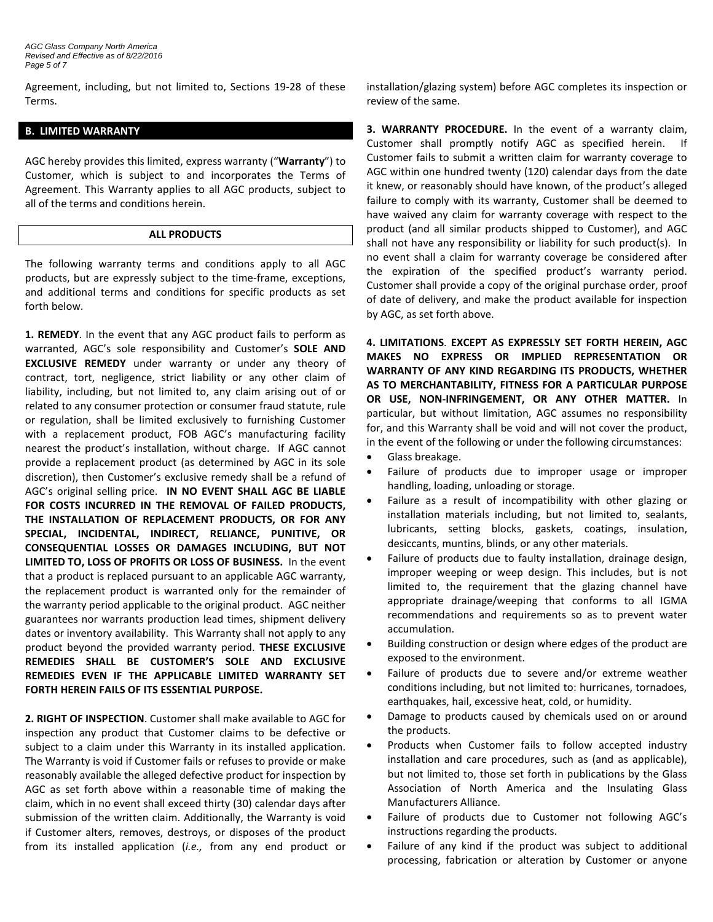Agreement, including, but not limited to, Sections 19-28 of these Terms.

### **B. LIMITED WARRANTY**

AGC hereby provides this limited, express warranty ("**Warranty**") to Customer, which is subject to and incorporates the Terms of Agreement. This Warranty applies to all AGC products, subject to all of the terms and conditions herein.

#### **ALL PRODUCTS**

The following warranty terms and conditions apply to all AGC products, but are expressly subject to the time-frame, exceptions, and additional terms and conditions for specific products as set forth below.

**1. REMEDY**. In the event that any AGC product fails to perform as warranted, AGC's sole responsibility and Customer's **SOLE AND EXCLUSIVE REMEDY** under warranty or under any theory of contract, tort, negligence, strict liability or any other claim of liability, including, but not limited to, any claim arising out of or related to any consumer protection or consumer fraud statute, rule or regulation, shall be limited exclusively to furnishing Customer with a replacement product, FOB AGC's manufacturing facility nearest the product's installation, without charge. If AGC cannot provide a replacement product (as determined by AGC in its sole discretion), then Customer's exclusive remedy shall be a refund of AGC's original selling price. **IN NO EVENT SHALL AGC BE LIABLE FOR COSTS INCURRED IN THE REMOVAL OF FAILED PRODUCTS, THE INSTALLATION OF REPLACEMENT PRODUCTS, OR FOR ANY SPECIAL, INCIDENTAL, INDIRECT, RELIANCE, PUNITIVE, OR CONSEQUENTIAL LOSSES OR DAMAGES INCLUDING, BUT NOT LIMITED TO, LOSS OF PROFITS OR LOSS OF BUSINESS.** In the event that a product is replaced pursuant to an applicable AGC warranty, the replacement product is warranted only for the remainder of the warranty period applicable to the original product. AGC neither guarantees nor warrants production lead times, shipment delivery dates or inventory availability. This Warranty shall not apply to any product beyond the provided warranty period. **THESE EXCLUSIVE REMEDIES SHALL BE CUSTOMER'S SOLE AND EXCLUSIVE REMEDIES EVEN IF THE APPLICABLE LIMITED WARRANTY SET FORTH HEREIN FAILS OF ITS ESSENTIAL PURPOSE.** 

**2. RIGHT OF INSPECTION**. Customer shall make available to AGC for inspection any product that Customer claims to be defective or subject to a claim under this Warranty in its installed application. The Warranty is void if Customer fails or refuses to provide or make reasonably available the alleged defective product for inspection by AGC as set forth above within a reasonable time of making the claim, which in no event shall exceed thirty (30) calendar days after submission of the written claim. Additionally, the Warranty is void if Customer alters, removes, destroys, or disposes of the product from its installed application (*i.e.,* from any end product or installation/glazing system) before AGC completes its inspection or review of the same.

**3. WARRANTY PROCEDURE.** In the event of a warranty claim, Customer shall promptly notify AGC as specified herein. If Customer fails to submit a written claim for warranty coverage to AGC within one hundred twenty (120) calendar days from the date it knew, or reasonably should have known, of the product's alleged failure to comply with its warranty, Customer shall be deemed to have waived any claim for warranty coverage with respect to the product (and all similar products shipped to Customer), and AGC shall not have any responsibility or liability for such product(s). In no event shall a claim for warranty coverage be considered after the expiration of the specified product's warranty period. Customer shall provide a copy of the original purchase order, proof of date of delivery, and make the product available for inspection by AGC, as set forth above.

**4. LIMITATIONS**. **EXCEPT AS EXPRESSLY SET FORTH HEREIN, AGC MAKES NO EXPRESS OR IMPLIED REPRESENTATION OR WARRANTY OF ANY KIND REGARDING ITS PRODUCTS, WHETHER AS TO MERCHANTABILITY, FITNESS FOR A PARTICULAR PURPOSE OR USE, NON-INFRINGEMENT, OR ANY OTHER MATTER.** In particular, but without limitation, AGC assumes no responsibility for, and this Warranty shall be void and will not cover the product, in the event of the following or under the following circumstances:

- Glass breakage.
- Failure of products due to improper usage or improper handling, loading, unloading or storage.
- Failure as a result of incompatibility with other glazing or installation materials including, but not limited to, sealants, lubricants, setting blocks, gaskets, coatings, insulation, desiccants, muntins, blinds, or any other materials.
- Failure of products due to faulty installation, drainage design, improper weeping or weep design. This includes, but is not limited to, the requirement that the glazing channel have appropriate drainage/weeping that conforms to all IGMA recommendations and requirements so as to prevent water accumulation.
- Building construction or design where edges of the product are exposed to the environment.
- Failure of products due to severe and/or extreme weather conditions including, but not limited to: hurricanes, tornadoes, earthquakes, hail, excessive heat, cold, or humidity.
- Damage to products caused by chemicals used on or around the products.
- Products when Customer fails to follow accepted industry installation and care procedures, such as (and as applicable), but not limited to, those set forth in publications by the Glass Association of North America and the Insulating Glass Manufacturers Alliance.
- Failure of products due to Customer not following AGC's instructions regarding the products.
- Failure of any kind if the product was subject to additional processing, fabrication or alteration by Customer or anyone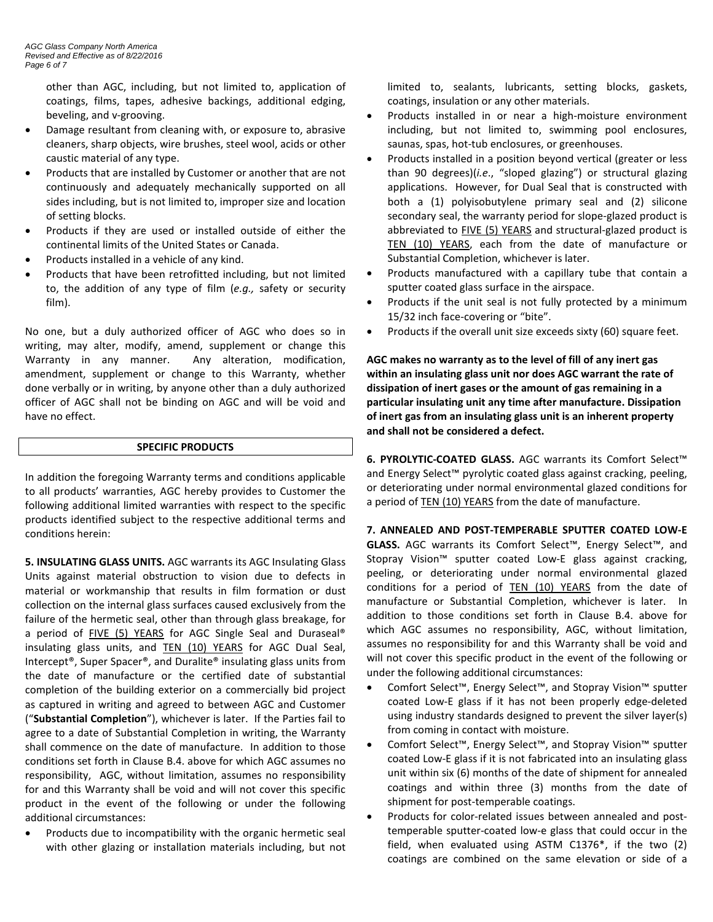other than AGC, including, but not limited to, application of coatings, films, tapes, adhesive backings, additional edging, beveling, and v-grooving.

- Damage resultant from cleaning with, or exposure to, abrasive cleaners, sharp objects, wire brushes, steel wool, acids or other caustic material of any type.
- Products that are installed by Customer or another that are not continuously and adequately mechanically supported on all sides including, but is not limited to, improper size and location of setting blocks.
- Products if they are used or installed outside of either the continental limits of the United States or Canada.
- Products installed in a vehicle of any kind.
- Products that have been retrofitted including, but not limited to, the addition of any type of film (*e.g.,* safety or security film).

No one, but a duly authorized officer of AGC who does so in writing, may alter, modify, amend, supplement or change this Warranty in any manner. Any alteration, modification, amendment, supplement or change to this Warranty, whether done verbally or in writing, by anyone other than a duly authorized officer of AGC shall not be binding on AGC and will be void and have no effect.

## **SPECIFIC PRODUCTS**

In addition the foregoing Warranty terms and conditions applicable to all products' warranties, AGC hereby provides to Customer the following additional limited warranties with respect to the specific products identified subject to the respective additional terms and conditions herein:

**5. INSULATING GLASS UNITS.** AGC warrants its AGC Insulating Glass Units against material obstruction to vision due to defects in material or workmanship that results in film formation or dust collection on the internal glass surfaces caused exclusively from the failure of the hermetic seal, other than through glass breakage, for a period of FIVE (5) YEARS for AGC Single Seal and Duraseal® insulating glass units, and **TEN (10) YEARS** for AGC Dual Seal, Intercept®, Super Spacer®, and Duralite® insulating glass units from the date of manufacture or the certified date of substantial completion of the building exterior on a commercially bid project as captured in writing and agreed to between AGC and Customer ("**Substantial Completion**"), whichever is later. If the Parties fail to agree to a date of Substantial Completion in writing, the Warranty shall commence on the date of manufacture. In addition to those conditions set forth in Clause B.4. above for which AGC assumes no responsibility, AGC, without limitation, assumes no responsibility for and this Warranty shall be void and will not cover this specific product in the event of the following or under the following additional circumstances:

Products due to incompatibility with the organic hermetic seal with other glazing or installation materials including, but not limited to, sealants, lubricants, setting blocks, gaskets, coatings, insulation or any other materials.

- Products installed in or near a high-moisture environment including, but not limited to, swimming pool enclosures, saunas, spas, hot-tub enclosures, or greenhouses.
- Products installed in a position beyond vertical (greater or less than 90 degrees)(*i.e*., "sloped glazing") or structural glazing applications. However, for Dual Seal that is constructed with both a (1) polyisobutylene primary seal and (2) silicone secondary seal, the warranty period for slope-glazed product is abbreviated to FIVE (5) YEARS and structural-glazed product is TEN (10) YEARS, each from the date of manufacture or Substantial Completion, whichever is later.
- Products manufactured with a capillary tube that contain a sputter coated glass surface in the airspace.
- Products if the unit seal is not fully protected by a minimum 15/32 inch face-covering or "bite".
- Products if the overall unit size exceeds sixty (60) square feet.

**AGC makes no warranty as to the level of fill of any inert gas within an insulating glass unit nor does AGC warrant the rate of dissipation of inert gases or the amount of gas remaining in a particular insulating unit any time after manufacture. Dissipation of inert gas from an insulating glass unit is an inherent property and shall not be considered a defect.**

**6. PYROLYTIC-COATED GLASS.** AGC warrants its Comfort Select™ and Energy Select™ pyrolytic coated glass against cracking, peeling, or deteriorating under normal environmental glazed conditions for a period of TEN (10) YEARS from the date of manufacture.

**7. ANNEALED AND POST-TEMPERABLE SPUTTER COATED LOW-E GLASS.** AGC warrants its Comfort Select™, Energy Select™, and Stopray Vision™ sputter coated Low-E glass against cracking, peeling, or deteriorating under normal environmental glazed conditions for a period of TEN (10) YEARS from the date of manufacture or Substantial Completion, whichever is later. In addition to those conditions set forth in Clause B.4. above for which AGC assumes no responsibility, AGC, without limitation, assumes no responsibility for and this Warranty shall be void and will not cover this specific product in the event of the following or under the following additional circumstances:

- Comfort Select™, Energy Select™, and Stopray Vision™ sputter coated Low-E glass if it has not been properly edge-deleted using industry standards designed to prevent the silver layer(s) from coming in contact with moisture.
- Comfort Select™, Energy Select™, and Stopray Vision™ sputter coated Low-E glass if it is not fabricated into an insulating glass unit within six (6) months of the date of shipment for annealed coatings and within three (3) months from the date of shipment for post-temperable coatings.
- Products for color-related issues between annealed and posttemperable sputter-coated low-e glass that could occur in the field, when evaluated using ASTM C1376\*, if the two (2) coatings are combined on the same elevation or side of a